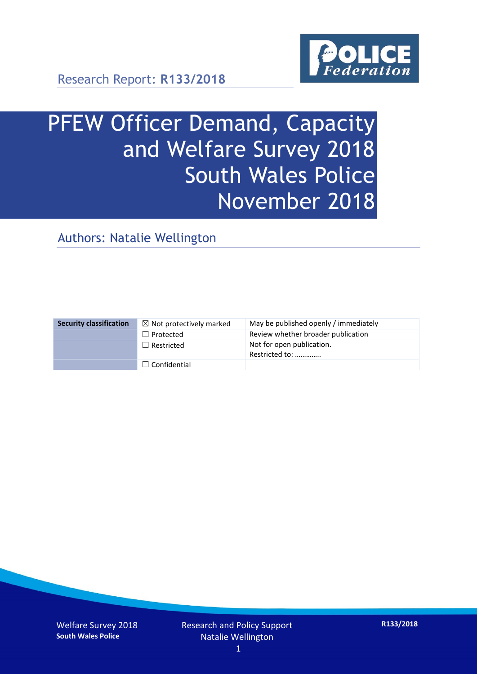

# PFEW Officer Demand, Capacity and Welfare Survey 2018 South Wales Police November 2018

Authors: Natalie Wellington

| <b>Security classification</b> | $\boxtimes$ Not protectively marked | May be published openly / immediately       |
|--------------------------------|-------------------------------------|---------------------------------------------|
|                                | $\Box$ Protected                    | Review whether broader publication          |
|                                | $\Box$ Restricted                   | Not for open publication.<br>Restricted to: |
|                                | $\Box$ Confidential                 |                                             |

Welfare Survey 2018 **South Wales Police**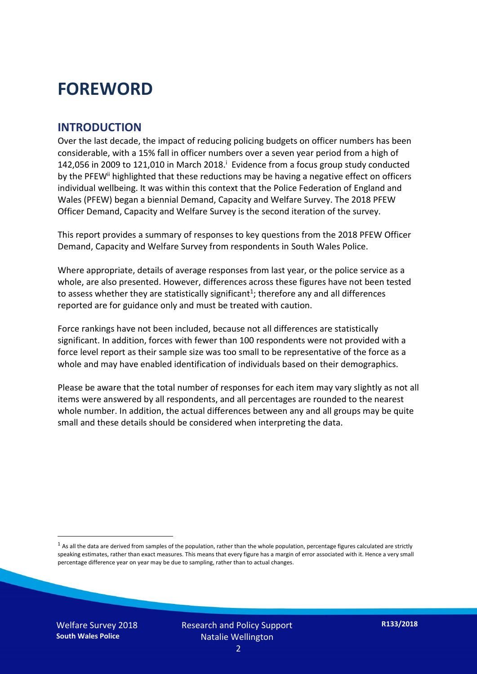### **FOREWORD**

#### **INTRODUCTION**

Over the last decade, the impact of reducing policing budgets on officer numbers has been considerable, with a 15% fall in officer numbers over a seven year period from a high of 142,056 in 2009 to 121,010 in March 2018. $^{\mathrm{i}}$  Evidence from a focus group study conducted by the PFEW<sup>ii</sup> highlighted that these reductions may be having a negative effect on officers individual wellbeing. It was within this context that the Police Federation of England and Wales (PFEW) began a biennial Demand, Capacity and Welfare Survey. The 2018 PFEW Officer Demand, Capacity and Welfare Survey is the second iteration of the survey.

This report provides a summary of responses to key questions from the 2018 PFEW Officer Demand, Capacity and Welfare Survey from respondents in South Wales Police.

Where appropriate, details of average responses from last year, or the police service as a whole, are also presented. However, differences across these figures have not been tested to assess whether they are statistically significant<sup>1</sup>; therefore any and all differences reported are for guidance only and must be treated with caution.

Force rankings have not been included, because not all differences are statistically significant. In addition, forces with fewer than 100 respondents were not provided with a force level report as their sample size was too small to be representative of the force as a whole and may have enabled identification of individuals based on their demographics.

Please be aware that the total number of responses for each item may vary slightly as not all items were answered by all respondents, and all percentages are rounded to the nearest whole number. In addition, the actual differences between any and all groups may be quite small and these details should be considered when interpreting the data.

Welfare Survey 2018 **South Wales Police**

<u>.</u>

 $<sup>1</sup>$  As all the data are derived from samples of the population, rather than the whole population, percentage figures calculated are strictly</sup> speaking estimates, rather than exact measures. This means that every figure has a margin of error associated with it. Hence a very small percentage difference year on year may be due to sampling, rather than to actual changes.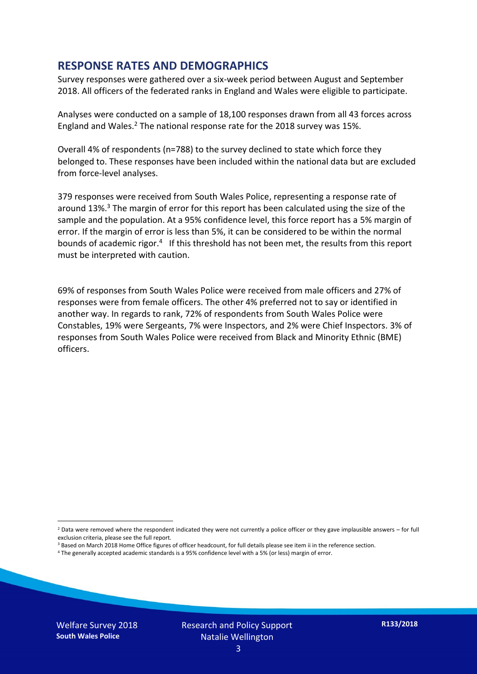#### **RESPONSE RATES AND DEMOGRAPHICS**

Survey responses were gathered over a six-week period between August and September 2018. All officers of the federated ranks in England and Wales were eligible to participate.

Analyses were conducted on a sample of 18,100 responses drawn from all 43 forces across England and Wales.<sup>2</sup> The national response rate for the 2018 survey was 15%.

Overall 4% of respondents (n=788) to the survey declined to state which force they belonged to. These responses have been included within the national data but are excluded from force-level analyses.

379 responses were received from South Wales Police, representing a response rate of around 13%. <sup>3</sup> The margin of error for this report has been calculated using the size of the sample and the population. At a 95% confidence level, this force report has a 5% margin of error. If the margin of error is less than 5%, it can be considered to be within the normal bounds of academic rigor.<sup>4</sup> If this threshold has not been met, the results from this report must be interpreted with caution.

69% of responses from South Wales Police were received from male officers and 27% of responses were from female officers. The other 4% preferred not to say or identified in another way. In regards to rank, 72% of respondents from South Wales Police were Constables, 19% were Sergeants, 7% were Inspectors, and 2% were Chief Inspectors. 3% of responses from South Wales Police were received from Black and Minority Ethnic (BME) officers.

<u>.</u>

 $2$  Data were removed where the respondent indicated they were not currently a police officer or they gave implausible answers – for full exclusion criteria, please see the full report.

<sup>3</sup> Based on March 2018 Home Office figures of officer headcount, for full details please see item ii in the reference section.

<sup>4</sup> The generally accepted academic standards is a 95% confidence level with a 5% (or less) margin of error.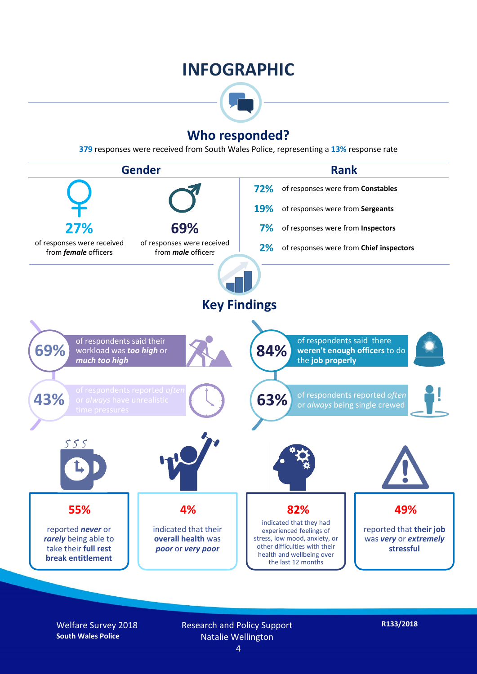### **INFOGRAPHIC**



#### **Who responded?**

**379** responses were received from South Wales Police, representing a **13%** response rate



Welfare Survey 2018 **South Wales Police**

Research and Policy Support Natalie Wellington 4

**R133/2018**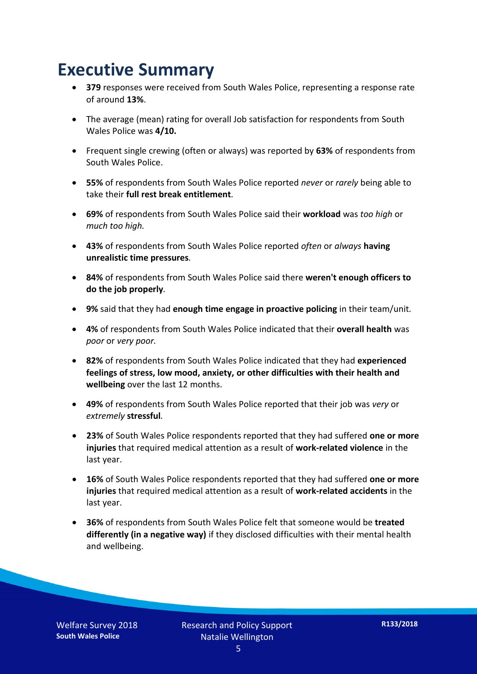### **Executive Summary**

- **379** responses were received from South Wales Police, representing a response rate of around **13%**.
- The average (mean) rating for overall Job satisfaction for respondents from South Wales Police was **4/10.**
- Frequent single crewing (often or always) was reported by **63%** of respondents from South Wales Police.
- **55%** of respondents from South Wales Police reported *never* or *rarely* being able to take their **full rest break entitlement***.*
- **69%** of respondents from South Wales Police said their **workload** was *too high* or *much too high.*
- **43%** of respondents from South Wales Police reported *often* or *always* **having unrealistic time pressures***.*
- **84%** of respondents from South Wales Police said there **weren't enough officers to do the job properly***.*
- **9%** said that they had **enough time engage in proactive policing** in their team/unit*.*
- **4%** of respondents from South Wales Police indicated that their **overall health** was *poor* or *very poor.*
- **82%** of respondents from South Wales Police indicated that they had **experienced feelings of stress, low mood, anxiety, or other difficulties with their health and wellbeing** over the last 12 months.
- **49%** of respondents from South Wales Police reported that their job was *very* or *extremely* **stressful***.*
- **23%** of South Wales Police respondents reported that they had suffered **one or more injuries** that required medical attention as a result of **work-related violence** in the last year.
- **16%** of South Wales Police respondents reported that they had suffered **one or more injuries** that required medical attention as a result of **work-related accidents** in the last year.
- **36%** of respondents from South Wales Police felt that someone would be **treated differently (in a negative way)** if they disclosed difficulties with their mental health and wellbeing.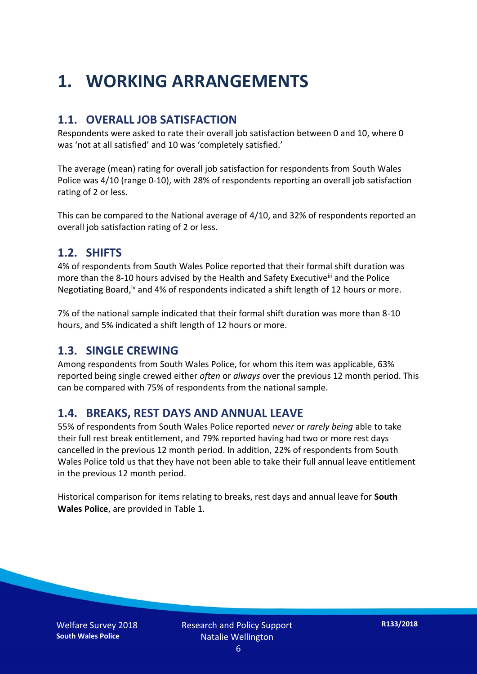## **1. WORKING ARRANGEMENTS**

#### **1.1. OVERALL JOB SATISFACTION**

Respondents were asked to rate their overall job satisfaction between 0 and 10, where 0 was 'not at all satisfied' and 10 was 'completely satisfied.'

The average (mean) rating for overall job satisfaction for respondents from South Wales Police was 4/10 (range 0-10), with 28% of respondents reporting an overall job satisfaction rating of 2 or less.

This can be compared to the National average of 4/10, and 32% of respondents reported an overall job satisfaction rating of 2 or less.

#### **1.2. SHIFTS**

4% of respondents from South Wales Police reported that their formal shift duration was more than the 8-10 hours advised by the Health and Safety Executive<sup>iii</sup> and the Police Negotiating Board,<sup>iv</sup> and 4% of respondents indicated a shift length of 12 hours or more.

7% of the national sample indicated that their formal shift duration was more than 8-10 hours, and 5% indicated a shift length of 12 hours or more.

#### **1.3. SINGLE CREWING**

Among respondents from South Wales Police, for whom this item was applicable, 63% reported being single crewed either *often* or *always* over the previous 12 month period. This can be compared with 75% of respondents from the national sample.

#### **1.4. BREAKS, REST DAYS AND ANNUAL LEAVE**

55% of respondents from South Wales Police reported *never* or *rarely being* able to take their full rest break entitlement, and 79% reported having had two or more rest days cancelled in the previous 12 month period. In addition, 22% of respondents from South Wales Police told us that they have not been able to take their full annual leave entitlement in the previous 12 month period.

Historical comparison for items relating to breaks, rest days and annual leave for **South Wales Police**, are provided in Table 1.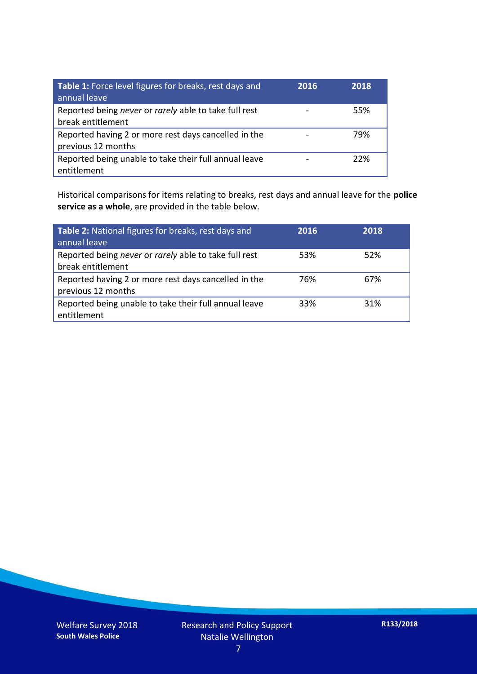| Table 1: Force level figures for breaks, rest days and<br>annual leave     | 2016 | 2018 |
|----------------------------------------------------------------------------|------|------|
| Reported being never or rarely able to take full rest<br>break entitlement |      | 55%  |
| Reported having 2 or more rest days cancelled in the<br>previous 12 months |      | 79%  |
| Reported being unable to take their full annual leave<br>entitlement       |      | 22%  |

Historical comparisons for items relating to breaks, rest days and annual leave for the **police service as a whole**, are provided in the table below.

| Table 2: National figures for breaks, rest days and<br>annual leave        | 2016 | 2018 |
|----------------------------------------------------------------------------|------|------|
| Reported being never or rarely able to take full rest<br>break entitlement | 53%  | 52%  |
| Reported having 2 or more rest days cancelled in the<br>previous 12 months | 76%  | 67%  |
| Reported being unable to take their full annual leave<br>entitlement       | 33%  | 31%  |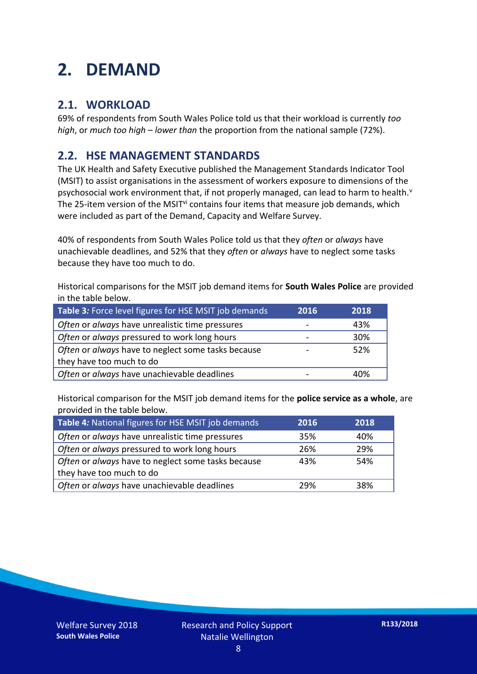## **2. DEMAND**

#### **2.1. WORKLOAD**

69% of respondents from South Wales Police told us that their workload is currently *too high*, or *much too high* – *lower than* the proportion from the national sample (72%).

#### **2.2. HSE MANAGEMENT STANDARDS**

The UK Health and Safety Executive published the Management Standards Indicator Tool (MSIT) to assist organisations in the assessment of workers exposure to dimensions of the psychosocial work environment that, if not properly managed, can lead to harm to health. $v$ The 25-item version of the MSIT<sup>vi</sup> contains four items that measure job demands, which were included as part of the Demand, Capacity and Welfare Survey.

40% of respondents from South Wales Police told us that they *often* or *always* have unachievable deadlines, and 52% that they *often* or *always* have to neglect some tasks because they have too much to do.

Historical comparisons for the MSIT job demand items for **South Wales Police** are provided in the table below.

| Table 3: Force level figures for HSE MSIT job demands | 2016 | 2018 |
|-------------------------------------------------------|------|------|
| Often or always have unrealistic time pressures       |      | 43%  |
| Often or always pressured to work long hours          |      | 30%  |
| Often or always have to neglect some tasks because    |      | 52%  |
| they have too much to do                              |      |      |
| Often or always have unachievable deadlines           |      | 40%  |

Historical comparison for the MSIT job demand items for the **police service as a whole**, are provided in the table below.

| Table 4: National figures for HSE MSIT job demands | 2016 | 2018 |
|----------------------------------------------------|------|------|
| Often or always have unrealistic time pressures    | 35%  | 40%  |
| Often or always pressured to work long hours       | 26%  | 29%  |
| Often or always have to neglect some tasks because | 43%  | 54%  |
| they have too much to do                           |      |      |
| Often or always have unachievable deadlines        | 29%  | 38%  |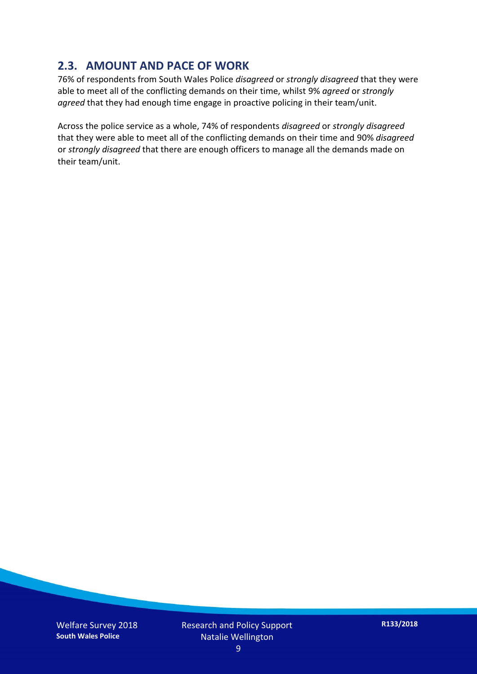#### **2.3. AMOUNT AND PACE OF WORK**

76% of respondents from South Wales Police *disagreed* or *strongly disagreed* that they were able to meet all of the conflicting demands on their time, whilst 9% *agreed* or *strongly agreed* that they had enough time engage in proactive policing in their team/unit.

Across the police service as a whole, 74% of respondents *disagreed* or *strongly disagreed* that they were able to meet all of the conflicting demands on their time and 90% *disagreed* or *strongly disagreed* that there are enough officers to manage all the demands made on their team/unit.

Welfare Survey 2018 **South Wales Police**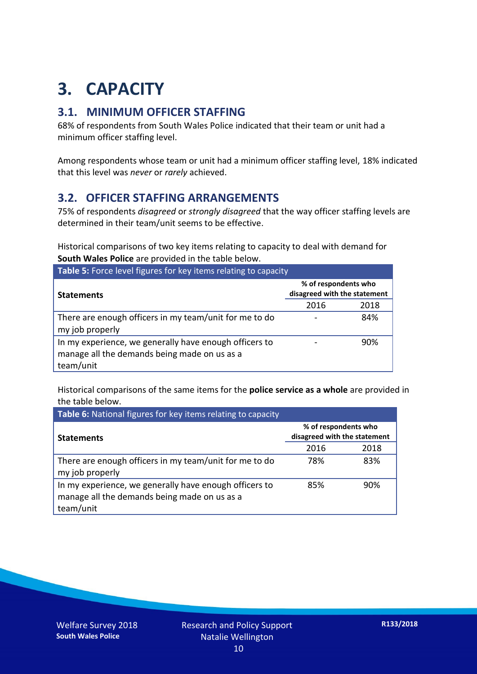## **3. CAPACITY**

#### **3.1. MINIMUM OFFICER STAFFING**

68% of respondents from South Wales Police indicated that their team or unit had a minimum officer staffing level.

Among respondents whose team or unit had a minimum officer staffing level, 18% indicated that this level was *never* or *rarely* achieved.

#### **3.2. OFFICER STAFFING ARRANGEMENTS**

75% of respondents *disagreed* or *strongly disagreed* that the way officer staffing levels are determined in their team/unit seems to be effective.

Historical comparisons of two key items relating to capacity to deal with demand for **South Wales Police** are provided in the table below.

| Table 5: Force level figures for key items relating to capacity                                                     |                                                      |      |  |
|---------------------------------------------------------------------------------------------------------------------|------------------------------------------------------|------|--|
| <b>Statements</b>                                                                                                   | % of respondents who<br>disagreed with the statement |      |  |
|                                                                                                                     | 2016                                                 | 2018 |  |
| There are enough officers in my team/unit for me to do<br>my job properly                                           |                                                      | 84%  |  |
| In my experience, we generally have enough officers to<br>manage all the demands being made on us as a<br>team/unit |                                                      | 90%  |  |

Historical comparisons of the same items for the **police service as a whole** are provided in the table below.

| Table 6: National figures for key items relating to capacity                                                        |                                                      |      |  |  |
|---------------------------------------------------------------------------------------------------------------------|------------------------------------------------------|------|--|--|
| <b>Statements</b>                                                                                                   | % of respondents who<br>disagreed with the statement |      |  |  |
|                                                                                                                     | 2016                                                 | 2018 |  |  |
| There are enough officers in my team/unit for me to do<br>my job properly                                           | 78%                                                  | 83%  |  |  |
| In my experience, we generally have enough officers to<br>manage all the demands being made on us as a<br>team/unit | 85%                                                  | 90%  |  |  |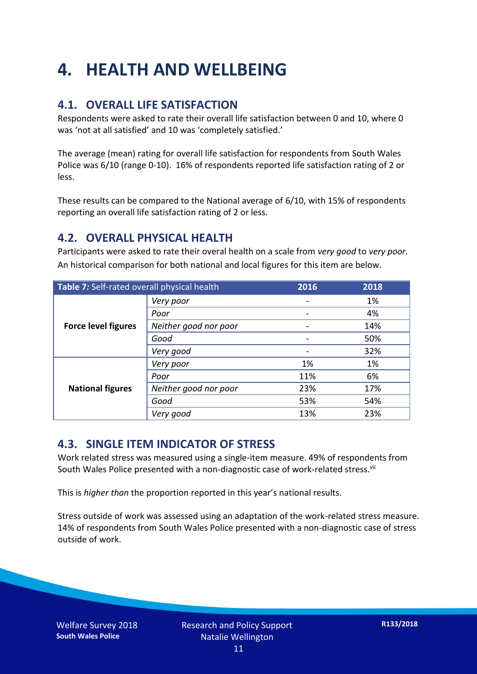## **4. HEALTH AND WELLBEING**

#### **4.1. OVERALL LIFE SATISFACTION**

Respondents were asked to rate their overall life satisfaction between 0 and 10, where 0 was 'not at all satisfied' and 10 was 'completely satisfied.'

The average (mean) rating for overall life satisfaction for respondents from South Wales Police was 6/10 (range 0-10). 16% of respondents reported life satisfaction rating of 2 or less.

These results can be compared to the National average of 6/10, with 15% of respondents reporting an overall life satisfaction rating of 2 or less.

#### **4.2. OVERALL PHYSICAL HEALTH**

Participants were asked to rate their overal health on a scale from *very good* to *very poor*. An historical comparison for both national and local figures for this item are below.

| Table 7: Self-rated overall physical health |                       | 2016 | 2018 |
|---------------------------------------------|-----------------------|------|------|
|                                             | Very poor             |      | 1%   |
| <b>Force level figures</b>                  | Poor                  |      | 4%   |
|                                             | Neither good nor poor |      | 14%  |
|                                             | Good                  |      | 50%  |
|                                             | Very good             |      | 32%  |
| <b>National figures</b>                     | Very poor             | 1%   | 1%   |
|                                             | Poor                  | 11%  | 6%   |
|                                             | Neither good nor poor | 23%  | 17%  |
|                                             | Good                  | 53%  | 54%  |
|                                             | Very good             | 13%  | 23%  |

#### **4.3. SINGLE ITEM INDICATOR OF STRESS**

Work related stress was measured using a single-item measure. 49% of respondents from South Wales Police presented with a non-diagnostic case of work-related stress.<sup>vii</sup>

This is *higher than* the proportion reported in this year's national results.

Stress outside of work was assessed using an adaptation of the work-related stress measure. 14% of respondents from South Wales Police presented with a non-diagnostic case of stress outside of work.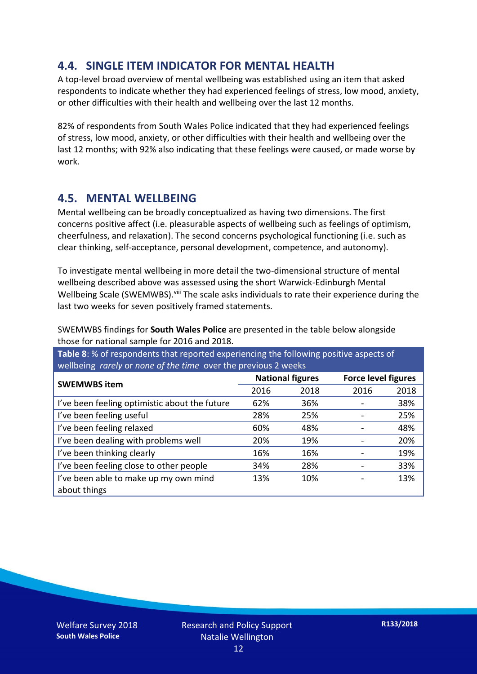#### **4.4. SINGLE ITEM INDICATOR FOR MENTAL HEALTH**

A top-level broad overview of mental wellbeing was established using an item that asked respondents to indicate whether they had experienced feelings of stress, low mood, anxiety, or other difficulties with their health and wellbeing over the last 12 months.

82% of respondents from South Wales Police indicated that they had experienced feelings of stress, low mood, anxiety, or other difficulties with their health and wellbeing over the last 12 months; with 92% also indicating that these feelings were caused, or made worse by work.

#### **4.5. MENTAL WELLBEING**

Mental wellbeing can be broadly conceptualized as having two dimensions. The first concerns positive affect (i.e. pleasurable aspects of wellbeing such as feelings of optimism, cheerfulness, and relaxation). The second concerns psychological functioning (i.e. such as clear thinking, self-acceptance, personal development, competence, and autonomy).

To investigate mental wellbeing in more detail the two-dimensional structure of mental wellbeing described above was assessed using the short Warwick-Edinburgh Mental Wellbeing Scale (SWEMWBS). viii The scale asks individuals to rate their experience during the last two weeks for seven positively framed statements.

SWEMWBS findings for **South Wales Police** are presented in the table below alongside those for national sample for 2016 and 2018.

**Table 8**: % of respondents that reported experiencing the following positive aspects of wellbeing *rarely* or *none of the time* over the previous 2 weeks

| <b>SWEMWBS item</b>                           | <b>National figures</b> |      | <b>Force level figures</b> |      |
|-----------------------------------------------|-------------------------|------|----------------------------|------|
|                                               | 2016                    | 2018 | 2016                       | 2018 |
| I've been feeling optimistic about the future | 62%                     | 36%  |                            | 38%  |
| I've been feeling useful                      | 28%                     | 25%  |                            | 25%  |
| I've been feeling relaxed                     | 60%                     | 48%  |                            | 48%  |
| I've been dealing with problems well          | 20%                     | 19%  |                            | 20%  |
| I've been thinking clearly                    | 16%                     | 16%  |                            | 19%  |
| I've been feeling close to other people       | 34%                     | 28%  |                            | 33%  |
| I've been able to make up my own mind         | 13%                     | 10%  |                            | 13%  |
| about things                                  |                         |      |                            |      |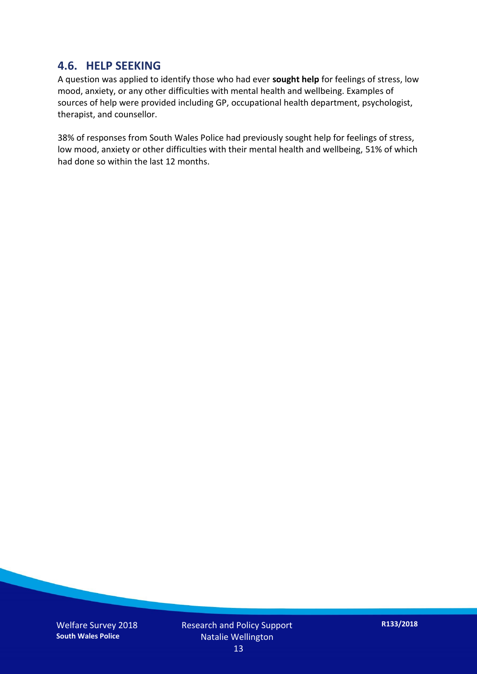#### **4.6. HELP SEEKING**

A question was applied to identify those who had ever **sought help** for feelings of stress, low mood, anxiety, or any other difficulties with mental health and wellbeing. Examples of sources of help were provided including GP, occupational health department, psychologist, therapist, and counsellor.

38% of responses from South Wales Police had previously sought help for feelings of stress, low mood, anxiety or other difficulties with their mental health and wellbeing, 51% of which had done so within the last 12 months.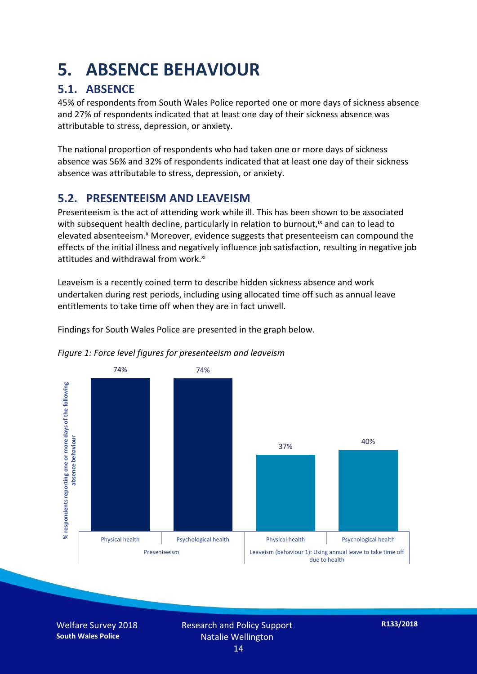### **5. ABSENCE BEHAVIOUR**

#### **5.1. ABSENCE**

45% of respondents from South Wales Police reported one or more days of sickness absence and 27% of respondents indicated that at least one day of their sickness absence was attributable to stress, depression, or anxiety.

The national proportion of respondents who had taken one or more days of sickness absence was 56% and 32% of respondents indicated that at least one day of their sickness absence was attributable to stress, depression, or anxiety.

#### **5.2. PRESENTEEISM AND LEAVEISM**

Presenteeism is the act of attending work while ill. This has been shown to be associated with subsequent health decline, particularly in relation to burnout,  $\alpha$  and can to lead to elevated absenteeism.<sup>x</sup> Moreover, evidence suggests that presenteeism can compound the effects of the initial illness and negatively influence job satisfaction, resulting in negative job attitudes and withdrawal from work.<sup>xi</sup>

Leaveism is a recently coined term to describe hidden sickness absence and work undertaken during rest periods, including using allocated time off such as annual leave entitlements to take time off when they are in fact unwell.

Findings for South Wales Police are presented in the graph below.





Welfare Survey 2018 **South Wales Police**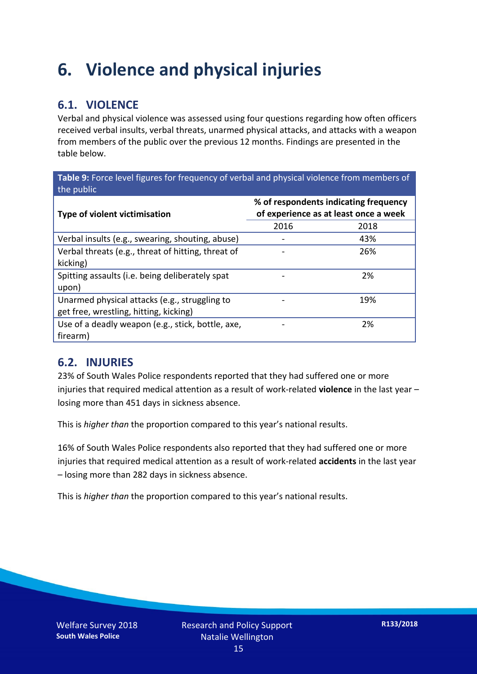### **6. Violence and physical injuries**

#### **6.1. VIOLENCE**

Verbal and physical violence was assessed using four questions regarding how often officers received verbal insults, verbal threats, unarmed physical attacks, and attacks with a weapon from members of the public over the previous 12 months. Findings are presented in the table below.

**Table 9:** Force level figures for frequency of verbal and physical violence from members of the public

| Type of violent victimisation                                                           | % of respondents indicating frequency<br>of experience as at least once a week |      |  |
|-----------------------------------------------------------------------------------------|--------------------------------------------------------------------------------|------|--|
|                                                                                         | 2016                                                                           | 2018 |  |
| Verbal insults (e.g., swearing, shouting, abuse)                                        |                                                                                | 43%  |  |
| Verbal threats (e.g., threat of hitting, threat of<br>kicking)                          |                                                                                | 26%  |  |
| Spitting assaults (i.e. being deliberately spat<br>upon)                                |                                                                                | 2%   |  |
| Unarmed physical attacks (e.g., struggling to<br>get free, wrestling, hitting, kicking) |                                                                                | 19%  |  |
| Use of a deadly weapon (e.g., stick, bottle, axe,<br>firearm)                           |                                                                                | 2%   |  |

#### **6.2. INJURIES**

23% of South Wales Police respondents reported that they had suffered one or more injuries that required medical attention as a result of work-related **violence** in the last year – losing more than 451 days in sickness absence.

This is *higher than* the proportion compared to this year's national results.

16% of South Wales Police respondents also reported that they had suffered one or more injuries that required medical attention as a result of work-related **accidents** in the last year – losing more than 282 days in sickness absence.

This is *higher than* the proportion compared to this year's national results.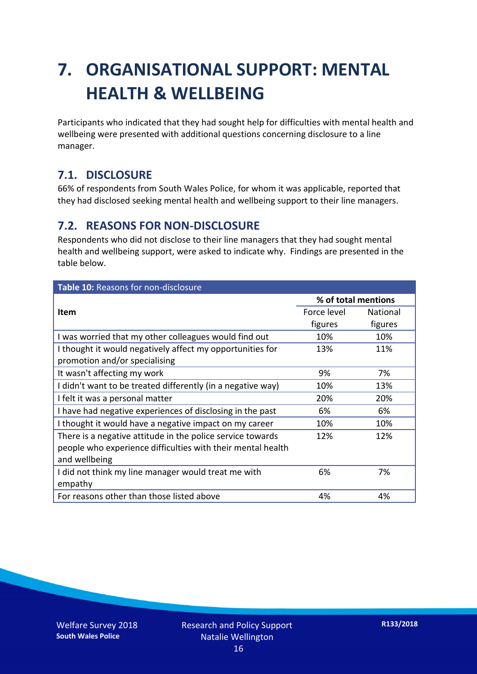## **7. ORGANISATIONAL SUPPORT: MENTAL HEALTH & WELLBEING**

Participants who indicated that they had sought help for difficulties with mental health and wellbeing were presented with additional questions concerning disclosure to a line manager.

#### **7.1. DISCLOSURE**

66% of respondents from South Wales Police, for whom it was applicable, reported that they had disclosed seeking mental health and wellbeing support to their line managers.

#### **7.2. REASONS FOR NON-DISCLOSURE**

Respondents who did not disclose to their line managers that they had sought mental health and wellbeing support, were asked to indicate why. Findings are presented in the table below.

| Table 10: Reasons for non-disclosure                        |                     |          |  |
|-------------------------------------------------------------|---------------------|----------|--|
|                                                             | % of total mentions |          |  |
| <b>Item</b>                                                 | Force level         | National |  |
|                                                             | figures             | figures  |  |
| I was worried that my other colleagues would find out       | 10%                 | 10%      |  |
| I thought it would negatively affect my opportunities for   | 13%                 | 11%      |  |
| promotion and/or specialising                               |                     |          |  |
| It wasn't affecting my work                                 | 9%                  | 7%       |  |
| I didn't want to be treated differently (in a negative way) | 10%                 | 13%      |  |
| I felt it was a personal matter                             | 20%                 | 20%      |  |
| I have had negative experiences of disclosing in the past   | 6%                  | 6%       |  |
| I thought it would have a negative impact on my career      | 10%                 | 10%      |  |
| There is a negative attitude in the police service towards  | 12%                 | 12%      |  |
| people who experience difficulties with their mental health |                     |          |  |
| and wellbeing                                               |                     |          |  |
| I did not think my line manager would treat me with         | 6%                  | 7%       |  |
| empathy                                                     |                     |          |  |
| For reasons other than those listed above                   | 4%                  | 4%       |  |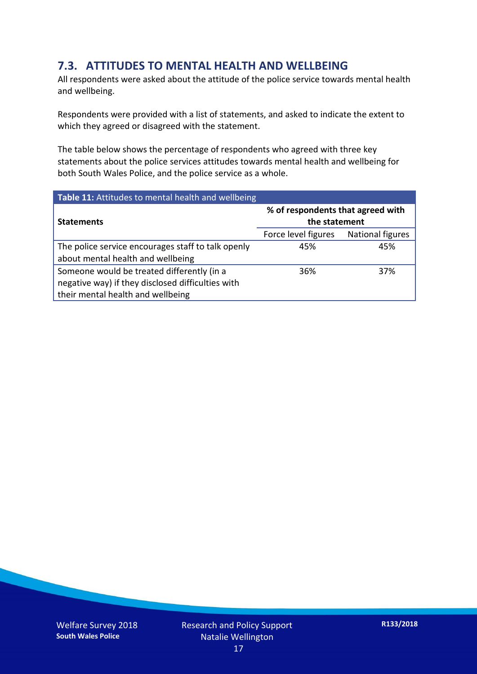#### **7.3. ATTITUDES TO MENTAL HEALTH AND WELLBEING**

All respondents were asked about the attitude of the police service towards mental health and wellbeing.

Respondents were provided with a list of statements, and asked to indicate the extent to which they agreed or disagreed with the statement.

The table below shows the percentage of respondents who agreed with three key statements about the police services attitudes towards mental health and wellbeing for both South Wales Police, and the police service as a whole.

| Table 11: Attitudes to mental health and wellbeing |                                                    |                  |  |
|----------------------------------------------------|----------------------------------------------------|------------------|--|
| <b>Statements</b>                                  | % of respondents that agreed with<br>the statement |                  |  |
|                                                    | Force level figures                                | National figures |  |
| The police service encourages staff to talk openly | 45%                                                | 45%              |  |
| about mental health and wellbeing                  |                                                    |                  |  |
| Someone would be treated differently (in a         | 36%                                                | 37%              |  |
| negative way) if they disclosed difficulties with  |                                                    |                  |  |
| their mental health and wellbeing                  |                                                    |                  |  |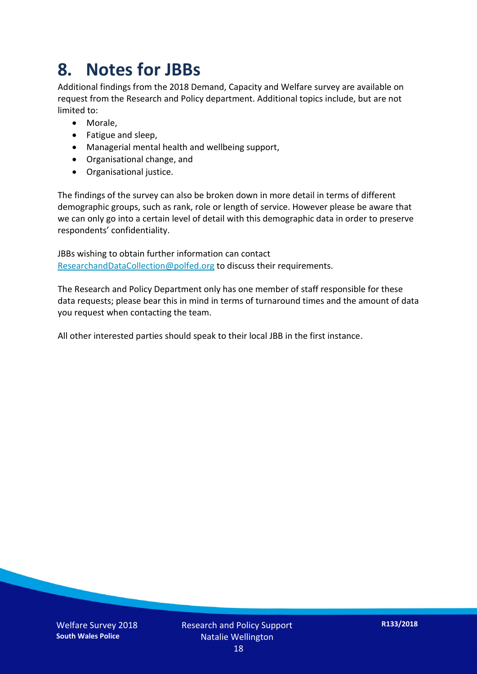### **8. Notes for JBBs**

Additional findings from the 2018 Demand, Capacity and Welfare survey are available on request from the Research and Policy department. Additional topics include, but are not limited to:

- Morale,
- Fatigue and sleep,
- Managerial mental health and wellbeing support,
- Organisational change, and
- Organisational justice.

The findings of the survey can also be broken down in more detail in terms of different demographic groups, such as rank, role or length of service. However please be aware that we can only go into a certain level of detail with this demographic data in order to preserve respondents' confidentiality.

JBBs wishing to obtain further information can contact [ResearchandDataCollection@polfed.org](mailto:ResearchandDataCollection@polfed.org) to discuss their requirements.

The Research and Policy Department only has one member of staff responsible for these data requests; please bear this in mind in terms of turnaround times and the amount of data you request when contacting the team.

All other interested parties should speak to their local JBB in the first instance.